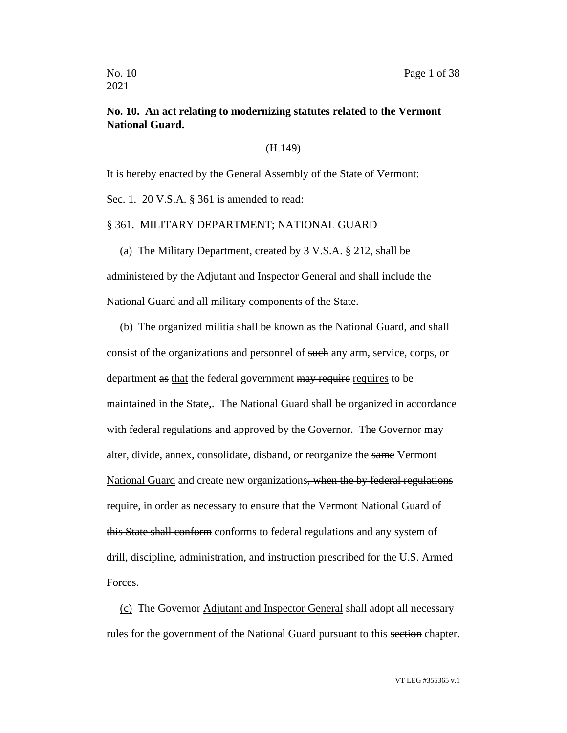## **No. 10. An act relating to modernizing statutes related to the Vermont National Guard.**

(H.149)

It is hereby enacted by the General Assembly of the State of Vermont:

Sec. 1. 20 V.S.A. § 361 is amended to read:

#### § 361. MILITARY DEPARTMENT; NATIONAL GUARD

(a) The Military Department, created by 3 V.S.A. § 212, shall be

administered by the Adjutant and Inspector General and shall include the National Guard and all military components of the State.

(b) The organized militia shall be known as the National Guard, and shall consist of the organizations and personnel of such any arm, service, corps, or department as that the federal government may require requires to be maintained in the State, The National Guard shall be organized in accordance with federal regulations and approved by the Governor. The Governor may alter, divide, annex, consolidate, disband, or reorganize the same Vermont National Guard and create new organizations, when the by federal regulations require, in order as necessary to ensure that the Vermont National Guard of this State shall conform conforms to federal regulations and any system of drill, discipline, administration, and instruction prescribed for the U.S. Armed Forces.

(c) The Governor Adjutant and Inspector General shall adopt all necessary rules for the government of the National Guard pursuant to this section chapter.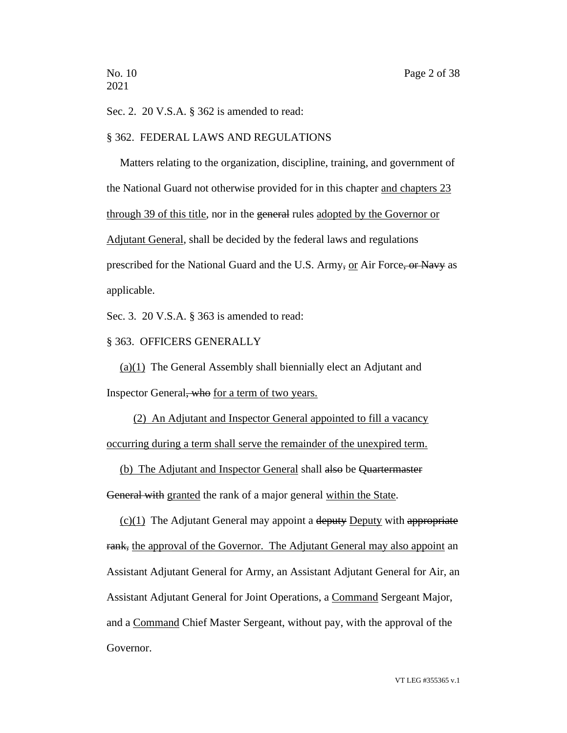Sec. 2. 20 V.S.A. § 362 is amended to read:

#### § 362. FEDERAL LAWS AND REGULATIONS

Matters relating to the organization, discipline, training, and government of the National Guard not otherwise provided for in this chapter and chapters 23 through 39 of this title, nor in the general rules adopted by the Governor or Adjutant General, shall be decided by the federal laws and regulations prescribed for the National Guard and the U.S. Army, or Air Force, or Navy as applicable.

Sec. 3. 20 V.S.A. § 363 is amended to read:

## § 363. OFFICERS GENERALLY

(a)(1) The General Assembly shall biennially elect an Adjutant and Inspector General, who for a term of two years.

(2) An Adjutant and Inspector General appointed to fill a vacancy occurring during a term shall serve the remainder of the unexpired term.

(b) The Adjutant and Inspector General shall also be Quartermaster

General with granted the rank of a major general within the State.

 $(c)(1)$  The Adjutant General may appoint a deputy Deputy with appropriate rank, the approval of the Governor. The Adjutant General may also appoint an Assistant Adjutant General for Army, an Assistant Adjutant General for Air, an Assistant Adjutant General for Joint Operations, a Command Sergeant Major, and a Command Chief Master Sergeant, without pay, with the approval of the Governor.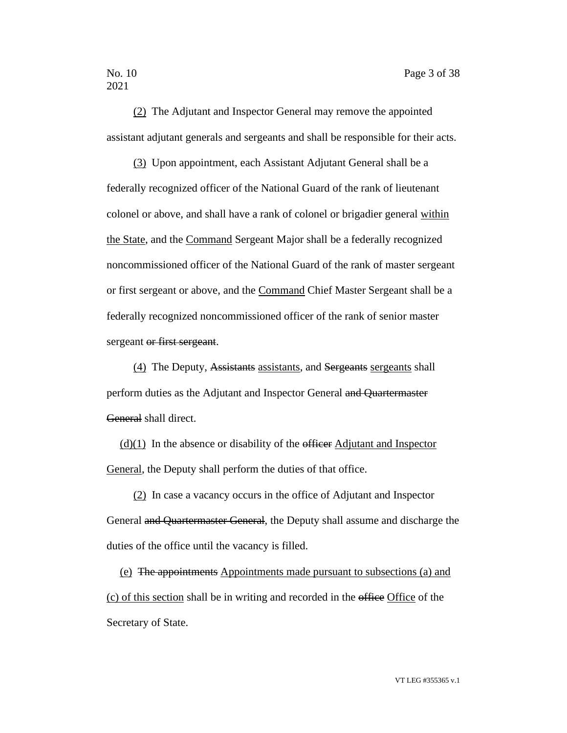(2) The Adjutant and Inspector General may remove the appointed assistant adjutant generals and sergeants and shall be responsible for their acts.

(3) Upon appointment, each Assistant Adjutant General shall be a federally recognized officer of the National Guard of the rank of lieutenant colonel or above, and shall have a rank of colonel or brigadier general within the State, and the Command Sergeant Major shall be a federally recognized noncommissioned officer of the National Guard of the rank of master sergeant or first sergeant or above, and the Command Chief Master Sergeant shall be a federally recognized noncommissioned officer of the rank of senior master sergeant or first sergeant.

(4) The Deputy, Assistants assistants, and Sergeants sergeants shall perform duties as the Adjutant and Inspector General and Quartermaster General shall direct.

 $(d)(1)$  In the absence or disability of the efficer Adjutant and Inspector General, the Deputy shall perform the duties of that office.

(2) In case a vacancy occurs in the office of Adjutant and Inspector General and Quartermaster General, the Deputy shall assume and discharge the duties of the office until the vacancy is filled.

(e) The appointments Appointments made pursuant to subsections (a) and (c) of this section shall be in writing and recorded in the office Office of the Secretary of State.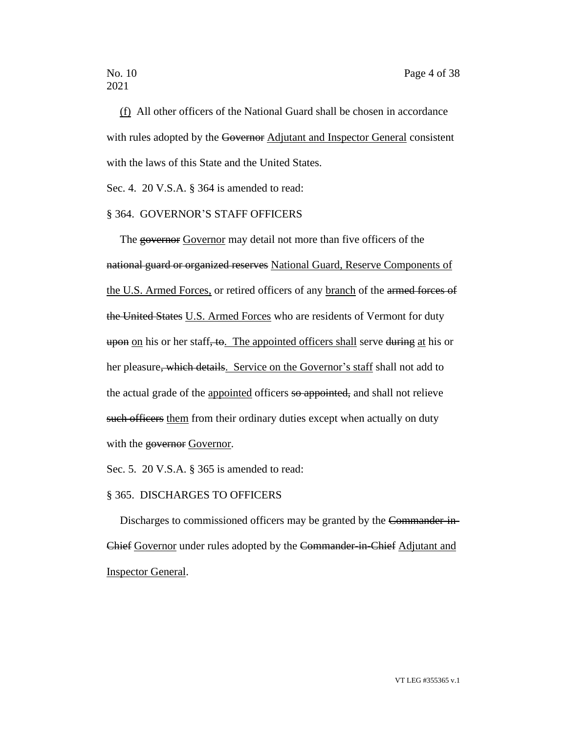(f) All other officers of the National Guard shall be chosen in accordance with rules adopted by the Governor Adjutant and Inspector General consistent with the laws of this State and the United States.

Sec. 4. 20 V.S.A. § 364 is amended to read:

## § 364. GOVERNOR'S STAFF OFFICERS

The governor Governor may detail not more than five officers of the national guard or organized reserves National Guard, Reserve Components of the U.S. Armed Forces, or retired officers of any branch of the armed forces of the United States U.S. Armed Forces who are residents of Vermont for duty upon on his or her staff, to. The appointed officers shall serve during at his or her pleasure, which details. Service on the Governor's staff shall not add to the actual grade of the appointed officers so appointed, and shall not relieve such officers them from their ordinary duties except when actually on duty with the governor Governor.

Sec. 5. 20 V.S.A. § 365 is amended to read:

#### § 365. DISCHARGES TO OFFICERS

Discharges to commissioned officers may be granted by the Commander-in-Chief Governor under rules adopted by the Commander-in-Chief Adjutant and Inspector General.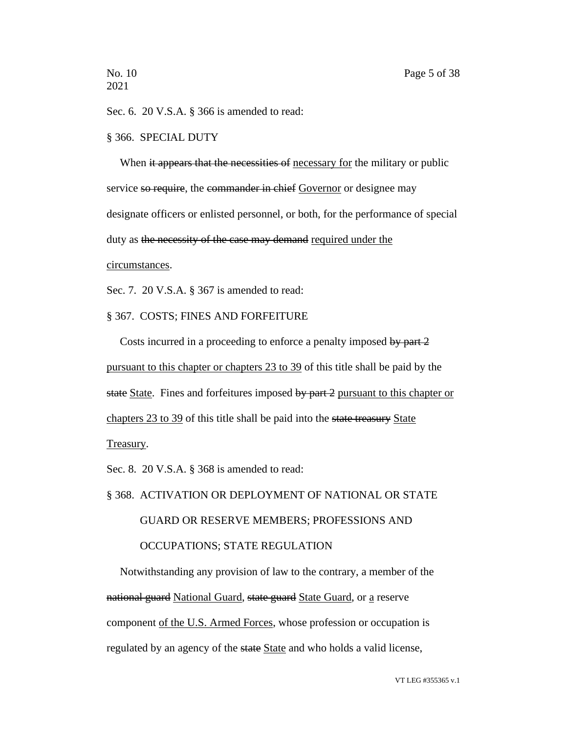Sec. 6. 20 V.S.A. § 366 is amended to read:

#### § 366. SPECIAL DUTY

When it appears that the necessities of necessary for the military or public service so require, the commander in chief Governor or designee may designate officers or enlisted personnel, or both, for the performance of special duty as the necessity of the case may demand required under the circumstances.

Sec. 7. 20 V.S.A. § 367 is amended to read:

## § 367. COSTS; FINES AND FORFEITURE

Costs incurred in a proceeding to enforce a penalty imposed by part 2 pursuant to this chapter or chapters 23 to 39 of this title shall be paid by the state State. Fines and forfeitures imposed by part 2 pursuant to this chapter or chapters 23 to 39 of this title shall be paid into the state treasury State

Treasury.

Sec. 8. 20 V.S.A. § 368 is amended to read:

§ 368. ACTIVATION OR DEPLOYMENT OF NATIONAL OR STATE

#### GUARD OR RESERVE MEMBERS; PROFESSIONS AND

#### OCCUPATIONS; STATE REGULATION

Notwithstanding any provision of law to the contrary, a member of the national guard National Guard, state guard State Guard, or a reserve component of the U.S. Armed Forces, whose profession or occupation is regulated by an agency of the state State and who holds a valid license,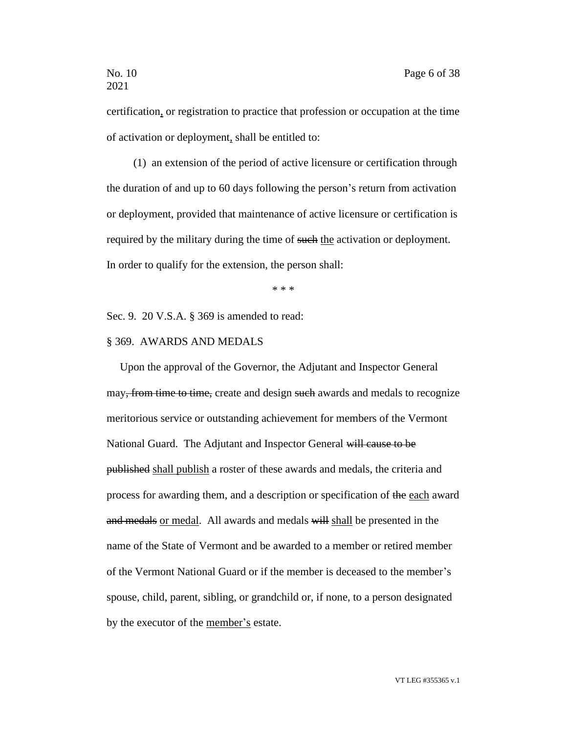certification, or registration to practice that profession or occupation at the time of activation or deployment, shall be entitled to:

(1) an extension of the period of active licensure or certification through the duration of and up to 60 days following the person's return from activation or deployment, provided that maintenance of active licensure or certification is required by the military during the time of such the activation or deployment. In order to qualify for the extension, the person shall:

\* \* \*

Sec. 9. 20 V.S.A. § 369 is amended to read:

## § 369. AWARDS AND MEDALS

Upon the approval of the Governor, the Adjutant and Inspector General may, from time to time, create and design such awards and medals to recognize meritorious service or outstanding achievement for members of the Vermont National Guard. The Adjutant and Inspector General will cause to be published shall publish a roster of these awards and medals, the criteria and process for awarding them, and a description or specification of the each award and medals or medal. All awards and medals will shall be presented in the name of the State of Vermont and be awarded to a member or retired member of the Vermont National Guard or if the member is deceased to the member's spouse, child, parent, sibling, or grandchild or, if none, to a person designated by the executor of the member's estate.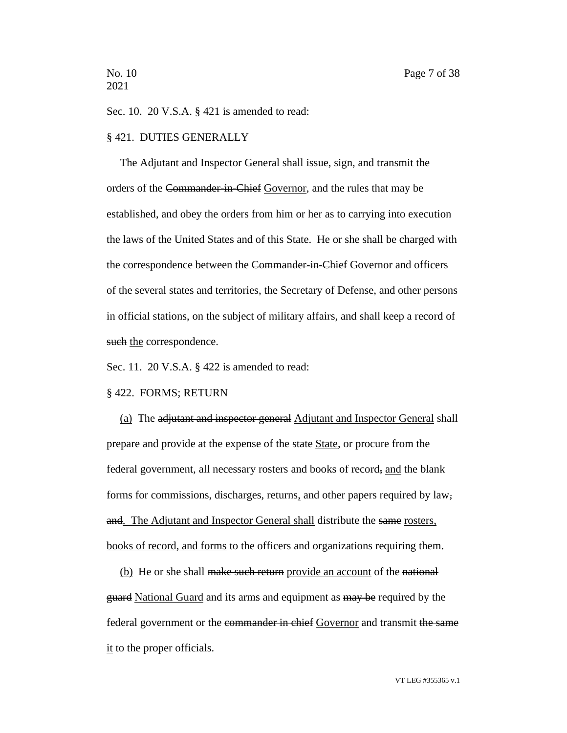Sec. 10. 20 V.S.A. § 421 is amended to read:

#### § 421. DUTIES GENERALLY

The Adjutant and Inspector General shall issue, sign, and transmit the orders of the Commander-in-Chief Governor, and the rules that may be established, and obey the orders from him or her as to carrying into execution the laws of the United States and of this State. He or she shall be charged with the correspondence between the Commander-in-Chief Governor and officers of the several states and territories, the Secretary of Defense, and other persons in official stations, on the subject of military affairs, and shall keep a record of such the correspondence.

Sec. 11. 20 V.S.A. § 422 is amended to read:

#### § 422. FORMS; RETURN

(a) The adjutant and inspector general Adjutant and Inspector General shall prepare and provide at the expense of the state State, or procure from the federal government, all necessary rosters and books of record, and the blank forms for commissions, discharges, returns, and other papers required by law, and. The Adjutant and Inspector General shall distribute the same rosters, books of record, and forms to the officers and organizations requiring them.

(b) He or she shall make such return provide an account of the national guard National Guard and its arms and equipment as may be required by the federal government or the commander in chief Governor and transmit the same it to the proper officials.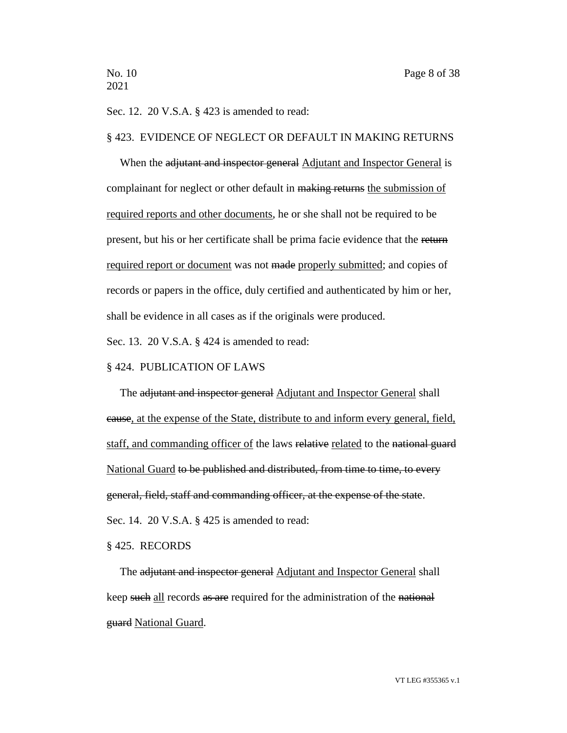Sec. 12. 20 V.S.A. § 423 is amended to read:

#### § 423. EVIDENCE OF NEGLECT OR DEFAULT IN MAKING RETURNS

When the adjutant and inspector general Adjutant and Inspector General is complainant for neglect or other default in making returns the submission of required reports and other documents, he or she shall not be required to be present, but his or her certificate shall be prima facie evidence that the return required report or document was not made properly submitted; and copies of records or papers in the office, duly certified and authenticated by him or her, shall be evidence in all cases as if the originals were produced.

Sec. 13. 20 V.S.A. § 424 is amended to read:

#### § 424. PUBLICATION OF LAWS

The adjutant and inspector general Adjutant and Inspector General shall cause, at the expense of the State, distribute to and inform every general, field, staff, and commanding officer of the laws relative related to the national guard National Guard to be published and distributed, from time to time, to every general, field, staff and commanding officer, at the expense of the state. Sec. 14. 20 V.S.A. § 425 is amended to read:

§ 425. RECORDS

The adjutant and inspector general Adjutant and Inspector General shall keep such all records as are required for the administration of the national guard National Guard.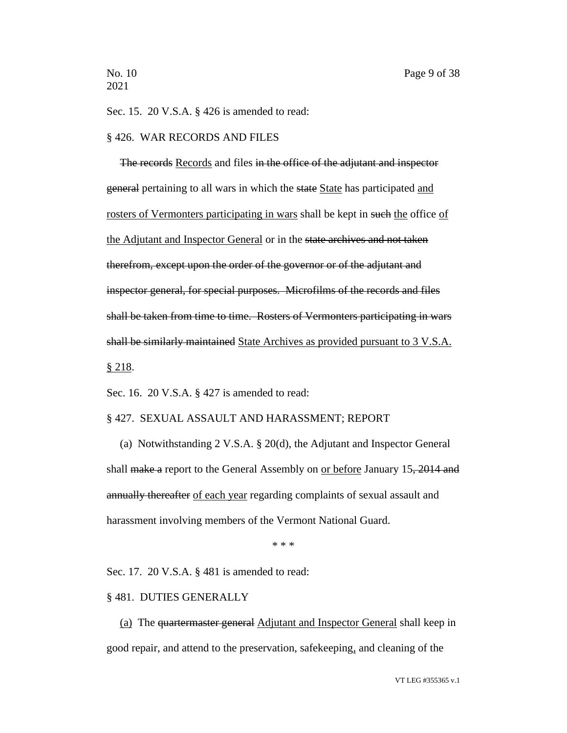Sec. 15. 20 V.S.A. § 426 is amended to read:

#### § 426. WAR RECORDS AND FILES

The records Records and files in the office of the adjutant and inspector general pertaining to all wars in which the state State has participated and rosters of Vermonters participating in wars shall be kept in such the office of the Adjutant and Inspector General or in the state archives and not taken therefrom, except upon the order of the governor or of the adjutant and inspector general, for special purposes. Microfilms of the records and files shall be taken from time to time. Rosters of Vermonters participating in wars shall be similarly maintained State Archives as provided pursuant to 3 V.S.A. § 218.

Sec. 16. 20 V.S.A. § 427 is amended to read:

#### § 427. SEXUAL ASSAULT AND HARASSMENT; REPORT

(a) Notwithstanding 2 V.S.A. § 20(d), the Adjutant and Inspector General shall make a report to the General Assembly on or before January 15, 2014 and annually thereafter of each year regarding complaints of sexual assault and harassment involving members of the Vermont National Guard.

\* \* \*

Sec. 17. 20 V.S.A. § 481 is amended to read:

#### § 481. DUTIES GENERALLY

(a) The quartermaster general Adjutant and Inspector General shall keep in good repair, and attend to the preservation, safekeeping, and cleaning of the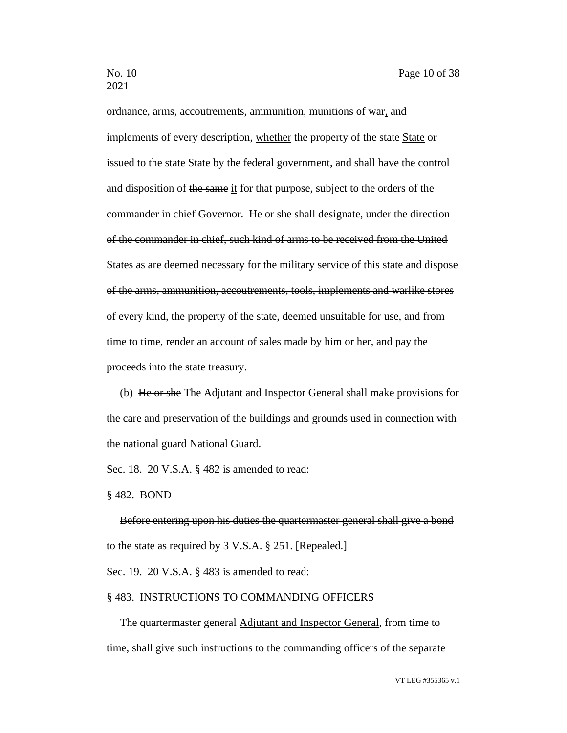ordnance, arms, accoutrements, ammunition, munitions of war, and implements of every description, whether the property of the state State or issued to the state State by the federal government, and shall have the control and disposition of the same it for that purpose, subject to the orders of the commander in chief Governor. He or she shall designate, under the direction of the commander in chief, such kind of arms to be received from the United States as are deemed necessary for the military service of this state and dispose of the arms, ammunition, accoutrements, tools, implements and warlike stores of every kind, the property of the state, deemed unsuitable for use, and from time to time, render an account of sales made by him or her, and pay the proceeds into the state treasury.

(b) He or she The Adjutant and Inspector General shall make provisions for the care and preservation of the buildings and grounds used in connection with the national guard National Guard.

Sec. 18. 20 V.S.A. § 482 is amended to read:

§ 482. BOND

Before entering upon his duties the quartermaster general shall give a bond to the state as required by 3 V.S.A. § 251. [Repealed.] Sec. 19. 20 V.S.A. § 483 is amended to read:

#### § 483. INSTRUCTIONS TO COMMANDING OFFICERS

The quartermaster general Adjutant and Inspector General, from time to time, shall give such instructions to the commanding officers of the separate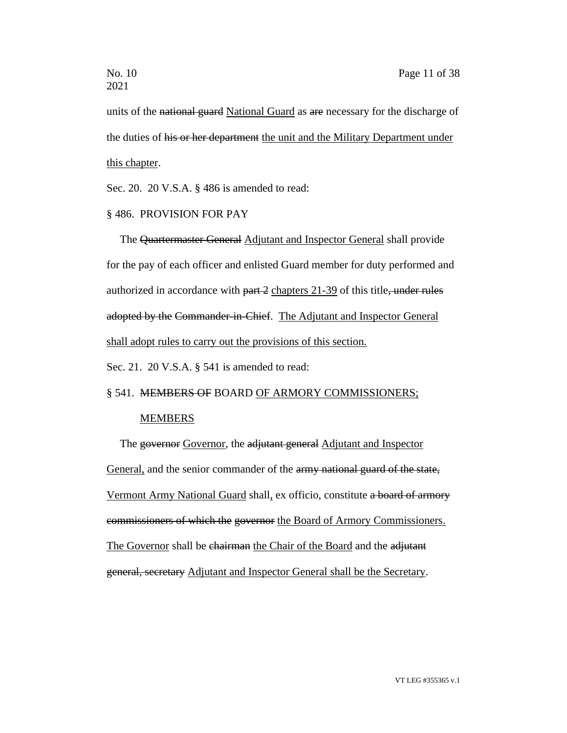units of the national guard National Guard as are necessary for the discharge of the duties of his or her department the unit and the Military Department under this chapter.

Sec. 20. 20 V.S.A. § 486 is amended to read:

## § 486. PROVISION FOR PAY

The Quartermaster General Adjutant and Inspector General shall provide for the pay of each officer and enlisted Guard member for duty performed and authorized in accordance with  $part 2$  chapters 21-39 of this title, under rules adopted by the Commander-in-Chief. The Adjutant and Inspector General shall adopt rules to carry out the provisions of this section.

Sec. 21. 20 V.S.A. § 541 is amended to read:

## § 541. MEMBERS OF BOARD OF ARMORY COMMISSIONERS;

## MEMBERS

The governor Governor, the adjutant general Adjutant and Inspector General, and the senior commander of the army national guard of the state, Vermont Army National Guard shall, ex officio, constitute a board of armory commissioners of which the governor the Board of Armory Commissioners. The Governor shall be chairman the Chair of the Board and the adjutant general, secretary Adjutant and Inspector General shall be the Secretary.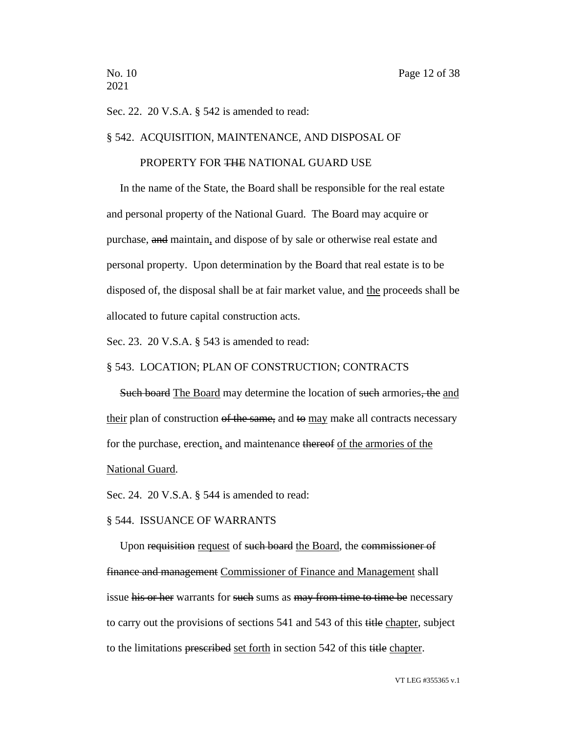Sec. 22. 20 V.S.A. § 542 is amended to read:

#### § 542. ACQUISITION, MAINTENANCE, AND DISPOSAL OF

## PROPERTY FOR THE NATIONAL GUARD USE

In the name of the State, the Board shall be responsible for the real estate and personal property of the National Guard. The Board may acquire or purchase, and maintain, and dispose of by sale or otherwise real estate and personal property. Upon determination by the Board that real estate is to be disposed of, the disposal shall be at fair market value, and the proceeds shall be allocated to future capital construction acts.

Sec. 23. 20 V.S.A. § 543 is amended to read:

#### § 543. LOCATION; PLAN OF CONSTRUCTION; CONTRACTS

Such board The Board may determine the location of such armories, the and their plan of construction of the same, and to may make all contracts necessary for the purchase, erection, and maintenance thereof of the armories of the National Guard.

Sec. 24. 20 V.S.A. § 544 is amended to read:

#### § 544. ISSUANCE OF WARRANTS

Upon requisition request of such board the Board, the commissioner of finance and management Commissioner of Finance and Management shall issue his or her warrants for such sums as may from time to time be necessary to carry out the provisions of sections 541 and 543 of this title chapter, subject to the limitations prescribed set forth in section 542 of this title chapter.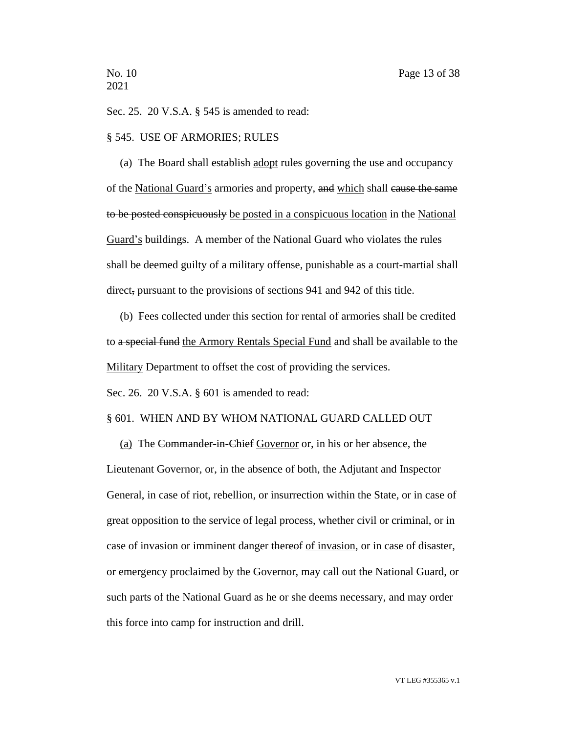Sec. 25. 20 V.S.A. § 545 is amended to read:

#### § 545. USE OF ARMORIES; RULES

(a) The Board shall establish adopt rules governing the use and occupancy of the National Guard's armories and property, and which shall cause the same to be posted conspicuously be posted in a conspicuous location in the National Guard's buildings. A member of the National Guard who violates the rules shall be deemed guilty of a military offense, punishable as a court-martial shall direct, pursuant to the provisions of sections 941 and 942 of this title.

(b) Fees collected under this section for rental of armories shall be credited to a special fund the Armory Rentals Special Fund and shall be available to the Military Department to offset the cost of providing the services.

Sec. 26. 20 V.S.A. § 601 is amended to read:

#### § 601. WHEN AND BY WHOM NATIONAL GUARD CALLED OUT

(a) The Commander-in-Chief Governor or, in his or her absence, the Lieutenant Governor, or, in the absence of both, the Adjutant and Inspector General, in case of riot, rebellion, or insurrection within the State, or in case of great opposition to the service of legal process, whether civil or criminal, or in case of invasion or imminent danger thereof of invasion, or in case of disaster, or emergency proclaimed by the Governor, may call out the National Guard, or such parts of the National Guard as he or she deems necessary, and may order this force into camp for instruction and drill.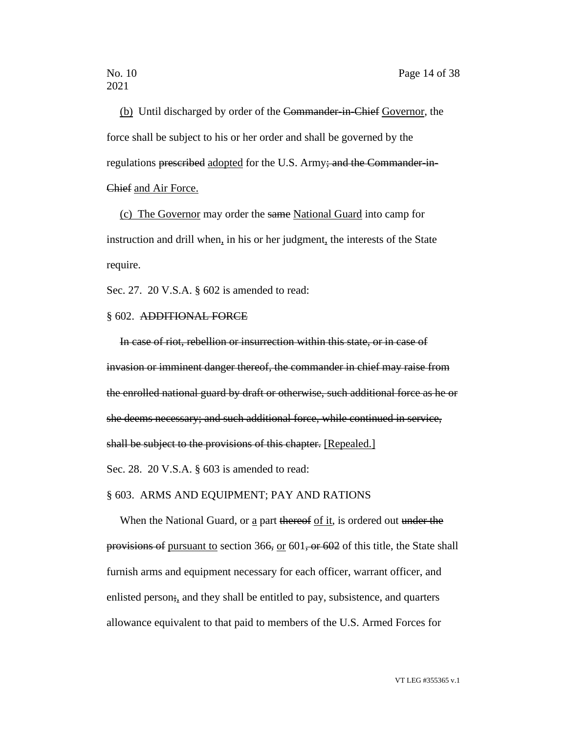(b) Until discharged by order of the Commander-in-Chief Governor, the force shall be subject to his or her order and shall be governed by the regulations prescribed adopted for the U.S. Army; and the Commander-in-Chief and Air Force.

(c) The Governor may order the same National Guard into camp for instruction and drill when, in his or her judgment, the interests of the State require.

Sec. 27. 20 V.S.A. § 602 is amended to read:

## § 602. ADDITIONAL FORCE

In case of riot, rebellion or insurrection within this state, or in case of invasion or imminent danger thereof, the commander in chief may raise from the enrolled national guard by draft or otherwise, such additional force as he or she deems necessary; and such additional force, while continued in service, shall be subject to the provisions of this chapter. [Repealed.]

Sec. 28. 20 V.S.A. § 603 is amended to read:

#### § 603. ARMS AND EQUIPMENT; PAY AND RATIONS

When the National Guard, or  $\underline{a}$  part thereof of it, is ordered out under the provisions of pursuant to section  $366$ , or  $601$ , or  $602$  of this title, the State shall furnish arms and equipment necessary for each officer, warrant officer, and enlisted person;, and they shall be entitled to pay, subsistence, and quarters allowance equivalent to that paid to members of the U.S. Armed Forces for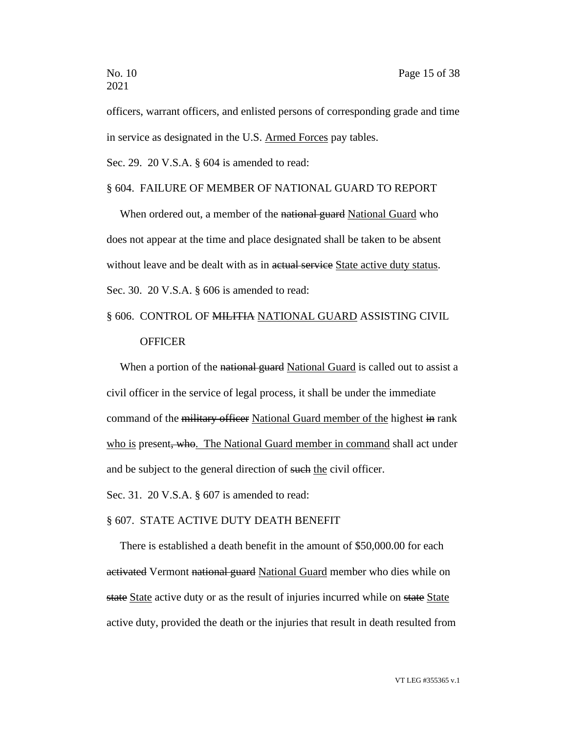officers, warrant officers, and enlisted persons of corresponding grade and time in service as designated in the U.S. Armed Forces pay tables.

Sec. 29. 20 V.S.A. § 604 is amended to read:

## § 604. FAILURE OF MEMBER OF NATIONAL GUARD TO REPORT

When ordered out, a member of the national guard National Guard who does not appear at the time and place designated shall be taken to be absent without leave and be dealt with as in actual service State active duty status. Sec. 30. 20 V.S.A. § 606 is amended to read:

## § 606. CONTROL OF MILITIA NATIONAL GUARD ASSISTING CIVIL **OFFICER**

When a portion of the national guard National Guard is called out to assist a civil officer in the service of legal process, it shall be under the immediate command of the military officer National Guard member of the highest in rank who is present, who. The National Guard member in command shall act under and be subject to the general direction of such the civil officer.

Sec. 31. 20 V.S.A. § 607 is amended to read:

#### § 607. STATE ACTIVE DUTY DEATH BENEFIT

There is established a death benefit in the amount of \$50,000.00 for each activated Vermont national guard National Guard member who dies while on state State active duty or as the result of injuries incurred while on state State active duty, provided the death or the injuries that result in death resulted from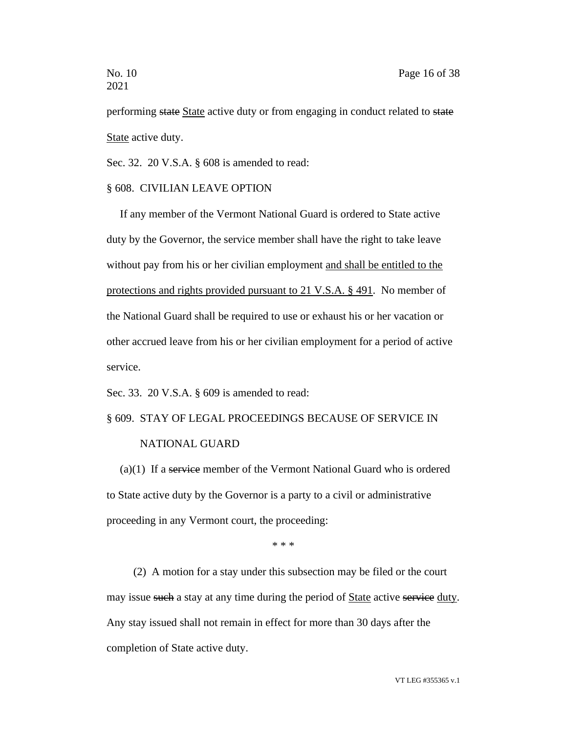performing state State active duty or from engaging in conduct related to state State active duty.

Sec. 32. 20 V.S.A. § 608 is amended to read:

#### § 608. CIVILIAN LEAVE OPTION

If any member of the Vermont National Guard is ordered to State active duty by the Governor, the service member shall have the right to take leave without pay from his or her civilian employment and shall be entitled to the protections and rights provided pursuant to 21 V.S.A. § 491. No member of the National Guard shall be required to use or exhaust his or her vacation or other accrued leave from his or her civilian employment for a period of active service.

Sec. 33. 20 V.S.A. § 609 is amended to read:

## § 609. STAY OF LEGAL PROCEEDINGS BECAUSE OF SERVICE IN

## NATIONAL GUARD

 $(a)(1)$  If a service member of the Vermont National Guard who is ordered to State active duty by the Governor is a party to a civil or administrative proceeding in any Vermont court, the proceeding:

\* \* \*

(2) A motion for a stay under this subsection may be filed or the court may issue such a stay at any time during the period of State active service duty. Any stay issued shall not remain in effect for more than 30 days after the completion of State active duty.

VT LEG #355365 v.1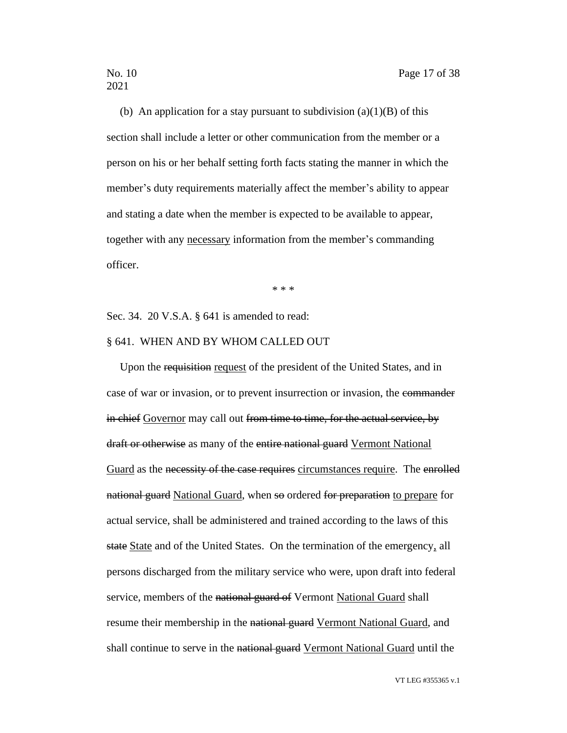(b) An application for a stay pursuant to subdivision  $(a)(1)(B)$  of this section shall include a letter or other communication from the member or a person on his or her behalf setting forth facts stating the manner in which the member's duty requirements materially affect the member's ability to appear and stating a date when the member is expected to be available to appear, together with any necessary information from the member's commanding officer.

\* \* \*

Sec. 34. 20 V.S.A. § 641 is amended to read:

#### § 641. WHEN AND BY WHOM CALLED OUT

Upon the requisition request of the president of the United States, and in case of war or invasion, or to prevent insurrection or invasion, the commander in chief Governor may call out from time to time, for the actual service, by draft or otherwise as many of the entire national guard Vermont National Guard as the necessity of the case requires circumstances require. The enrolled national guard National Guard, when so ordered for preparation to prepare for actual service, shall be administered and trained according to the laws of this state State and of the United States. On the termination of the emergency, all persons discharged from the military service who were, upon draft into federal service, members of the national guard of Vermont National Guard shall resume their membership in the national guard Vermont National Guard, and shall continue to serve in the national guard Vermont National Guard until the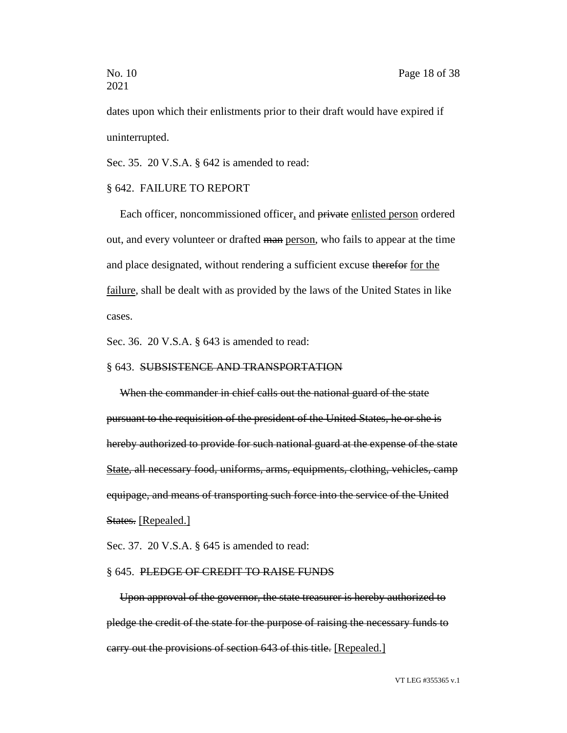dates upon which their enlistments prior to their draft would have expired if uninterrupted.

Sec. 35. 20 V.S.A. § 642 is amended to read:

#### § 642. FAILURE TO REPORT

Each officer, noncommissioned officer, and private enlisted person ordered out, and every volunteer or drafted man person, who fails to appear at the time and place designated, without rendering a sufficient excuse therefor for the failure, shall be dealt with as provided by the laws of the United States in like cases.

Sec. 36. 20 V.S.A. § 643 is amended to read:

#### § 643. SUBSISTENCE AND TRANSPORTATION

When the commander in chief calls out the national guard of the state pursuant to the requisition of the president of the United States, he or she is hereby authorized to provide for such national guard at the expense of the state State, all necessary food, uniforms, arms, equipments, clothing, vehicles, camp equipage, and means of transporting such force into the service of the United States. [Repealed.]

Sec. 37. 20 V.S.A. § 645 is amended to read:

#### § 645. PLEDGE OF CREDIT TO RAISE FUNDS

Upon approval of the governor, the state treasurer is hereby authorized to pledge the credit of the state for the purpose of raising the necessary funds to carry out the provisions of section 643 of this title. [Repealed.]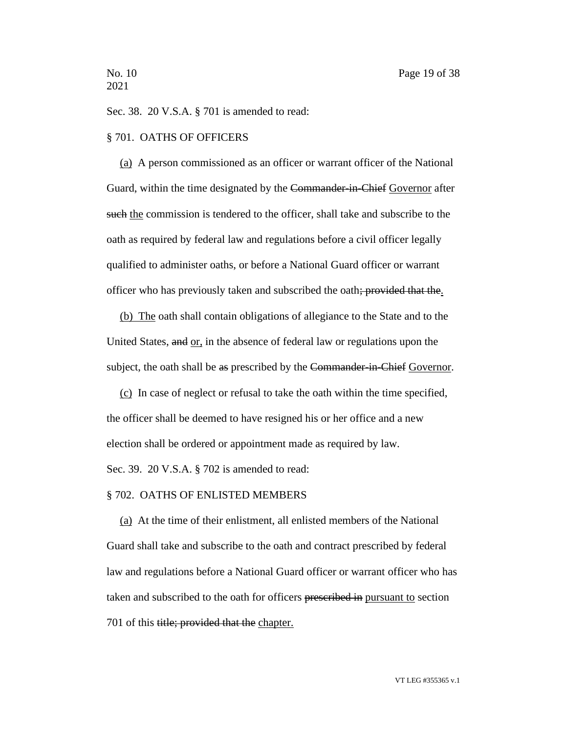Sec. 38. 20 V.S.A. § 701 is amended to read:

#### § 701. OATHS OF OFFICERS

(a) A person commissioned as an officer or warrant officer of the National Guard, within the time designated by the Commander-in-Chief Governor after such the commission is tendered to the officer, shall take and subscribe to the oath as required by federal law and regulations before a civil officer legally qualified to administer oaths, or before a National Guard officer or warrant officer who has previously taken and subscribed the oath; provided that the.

(b) The oath shall contain obligations of allegiance to the State and to the United States, and or, in the absence of federal law or regulations upon the subject, the oath shall be as prescribed by the Commander-in-Chief Governor.

(c) In case of neglect or refusal to take the oath within the time specified, the officer shall be deemed to have resigned his or her office and a new election shall be ordered or appointment made as required by law. Sec. 39. 20 V.S.A. § 702 is amended to read:

## § 702. OATHS OF ENLISTED MEMBERS

(a) At the time of their enlistment, all enlisted members of the National Guard shall take and subscribe to the oath and contract prescribed by federal law and regulations before a National Guard officer or warrant officer who has taken and subscribed to the oath for officers prescribed in pursuant to section 701 of this title; provided that the chapter.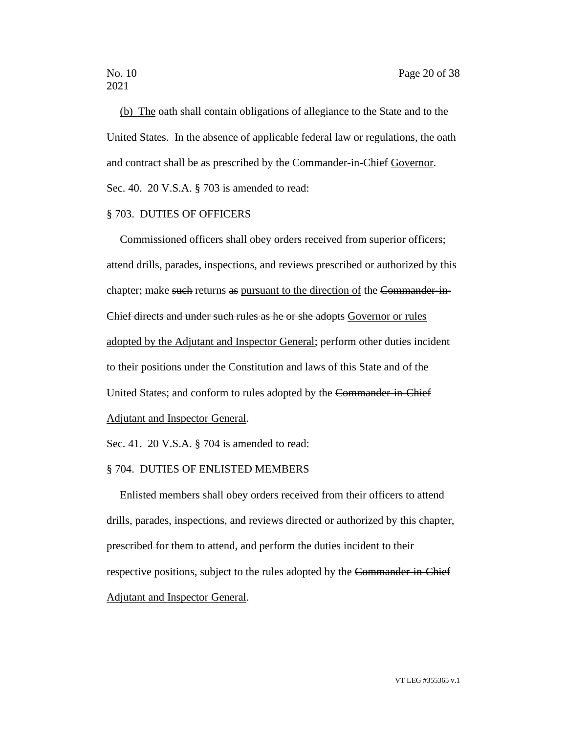(b) The oath shall contain obligations of allegiance to the State and to the United States. In the absence of applicable federal law or regulations, the oath and contract shall be as prescribed by the Commander-in-Chief Governor. Sec. 40. 20 V.S.A. § 703 is amended to read:

#### § 703. DUTIES OF OFFICERS

Commissioned officers shall obey orders received from superior officers; attend drills, parades, inspections, and reviews prescribed or authorized by this chapter; make such returns as pursuant to the direction of the Commander-in-Chief directs and under such rules as he or she adopts Governor or rules adopted by the Adjutant and Inspector General; perform other duties incident to their positions under the Constitution and laws of this State and of the United States; and conform to rules adopted by the Commander-in-Chief Adjutant and Inspector General.

Sec. 41. 20 V.S.A. § 704 is amended to read:

#### § 704. DUTIES OF ENLISTED MEMBERS

Enlisted members shall obey orders received from their officers to attend drills, parades, inspections, and reviews directed or authorized by this chapter, prescribed for them to attend, and perform the duties incident to their respective positions, subject to the rules adopted by the Commander-in-Chief Adjutant and Inspector General.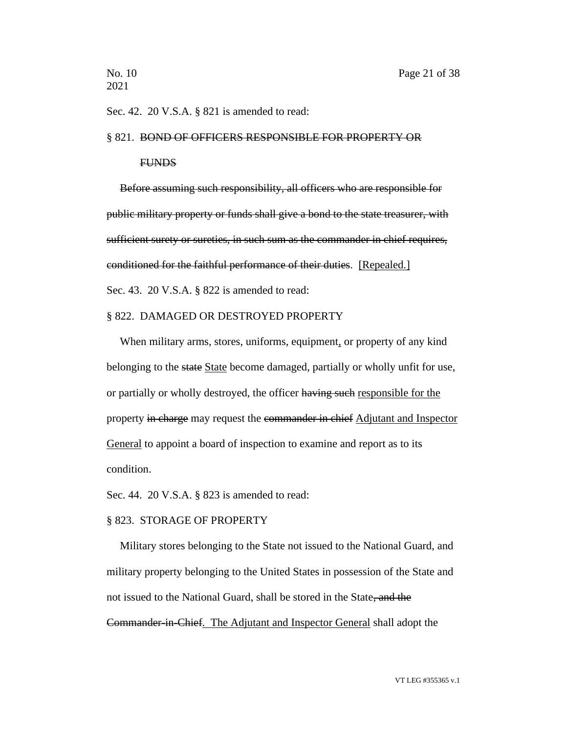Sec. 42. 20 V.S.A. § 821 is amended to read:

#### § 821. BOND OF OFFICERS RESPONSIBLE FOR PROPERTY OR

#### FUNDS

Before assuming such responsibility, all officers who are responsible for public military property or funds shall give a bond to the state treasurer, with sufficient surety or sureties, in such sum as the commander in chief requires, conditioned for the faithful performance of their duties. [Repealed.] Sec. 43. 20 V.S.A. § 822 is amended to read:

#### § 822. DAMAGED OR DESTROYED PROPERTY

When military arms, stores, uniforms, equipment, or property of any kind belonging to the state State become damaged, partially or wholly unfit for use, or partially or wholly destroyed, the officer having such responsible for the property in charge may request the commander in chief Adjutant and Inspector General to appoint a board of inspection to examine and report as to its condition.

Sec. 44. 20 V.S.A. § 823 is amended to read:

#### § 823. STORAGE OF PROPERTY

Military stores belonging to the State not issued to the National Guard, and military property belonging to the United States in possession of the State and not issued to the National Guard, shall be stored in the State, and the Commander in Chief. The Adjutant and Inspector General shall adopt the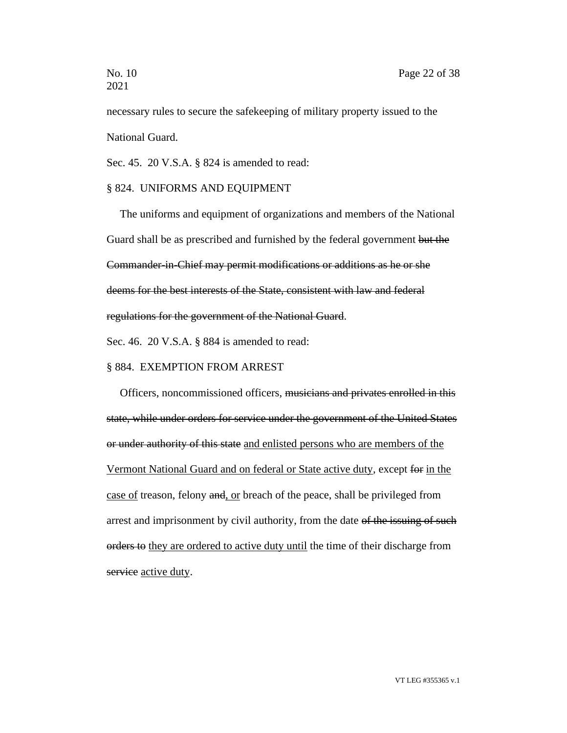necessary rules to secure the safekeeping of military property issued to the National Guard.

Sec. 45. 20 V.S.A. § 824 is amended to read:

#### § 824. UNIFORMS AND EQUIPMENT

The uniforms and equipment of organizations and members of the National Guard shall be as prescribed and furnished by the federal government but the Commander-in-Chief may permit modifications or additions as he or she deems for the best interests of the State, consistent with law and federal regulations for the government of the National Guard.

Sec. 46. 20 V.S.A. § 884 is amended to read:

#### § 884. EXEMPTION FROM ARREST

Officers, noncommissioned officers, musicians and privates enrolled in this state, while under orders for service under the government of the United States or under authority of this state and enlisted persons who are members of the Vermont National Guard and on federal or State active duty, except for in the case of treason, felony and, or breach of the peace, shall be privileged from arrest and imprisonment by civil authority, from the date of the issuing of such orders to they are ordered to active duty until the time of their discharge from service active duty.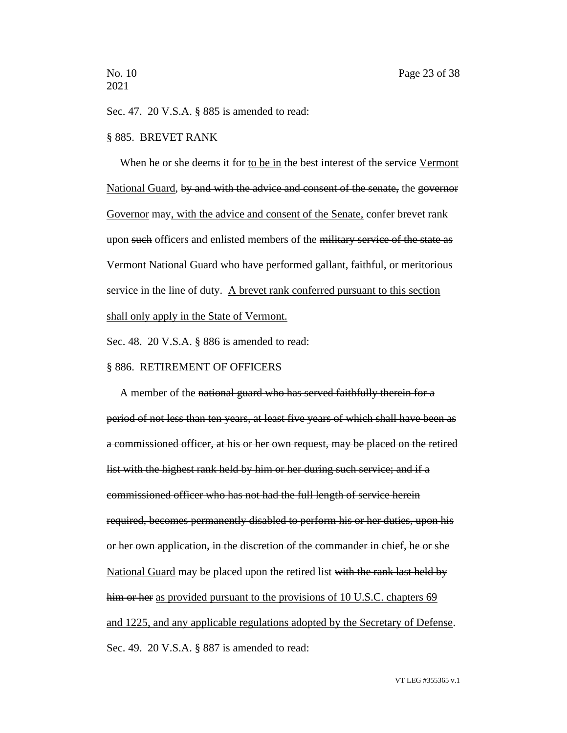Sec. 47. 20 V.S.A. § 885 is amended to read:

#### § 885. BREVET RANK

When he or she deems it for to be in the best interest of the service Vermont National Guard, by and with the advice and consent of the senate, the governor Governor may, with the advice and consent of the Senate, confer brevet rank upon such officers and enlisted members of the military service of the state as Vermont National Guard who have performed gallant, faithful, or meritorious service in the line of duty. A brevet rank conferred pursuant to this section shall only apply in the State of Vermont.

Sec. 48. 20 V.S.A. § 886 is amended to read:

#### § 886. RETIREMENT OF OFFICERS

A member of the national guard who has served faithfully therein for a period of not less than ten years, at least five years of which shall have been as a commissioned officer, at his or her own request, may be placed on the retired list with the highest rank held by him or her during such service; and if a commissioned officer who has not had the full length of service herein required, becomes permanently disabled to perform his or her duties, upon his or her own application, in the discretion of the commander in chief, he or she National Guard may be placed upon the retired list with the rank last held by him or her as provided pursuant to the provisions of 10 U.S.C. chapters 69 and 1225, and any applicable regulations adopted by the Secretary of Defense. Sec. 49. 20 V.S.A. § 887 is amended to read: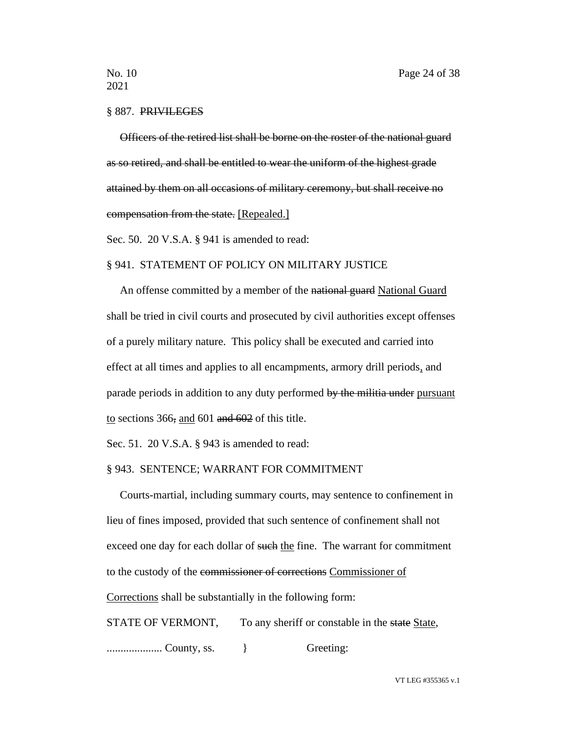#### § 887. PRIVILEGES

Officers of the retired list shall be borne on the roster of the national guard as so retired, and shall be entitled to wear the uniform of the highest grade attained by them on all occasions of military ceremony, but shall receive no compensation from the state. [Repealed.]

Sec. 50. 20 V.S.A. § 941 is amended to read:

## § 941. STATEMENT OF POLICY ON MILITARY JUSTICE

An offense committed by a member of the national guard National Guard shall be tried in civil courts and prosecuted by civil authorities except offenses of a purely military nature. This policy shall be executed and carried into effect at all times and applies to all encampments, armory drill periods, and parade periods in addition to any duty performed by the militia under pursuant to sections 366, and 601 and 602 of this title.

Sec. 51. 20 V.S.A. § 943 is amended to read:

#### § 943. SENTENCE; WARRANT FOR COMMITMENT

Courts-martial, including summary courts, may sentence to confinement in lieu of fines imposed, provided that such sentence of confinement shall not exceed one day for each dollar of such the fine. The warrant for commitment to the custody of the commissioner of corrections Commissioner of Corrections shall be substantially in the following form:

STATE OF VERMONT, To any sheriff or constable in the state State,

.................... County, ss. } Greeting:

VT LEG #355365 v.1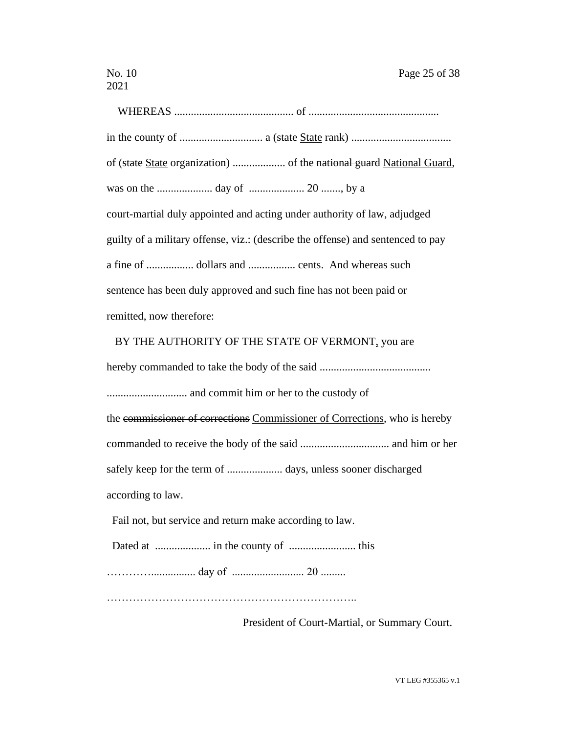WHEREAS ........................................... of ............................................... in the county of .............................. a (state State rank) .................................... of (state State organization) ................... of the national guard National Guard, was on the .................... day of .................... 20 ......., by a court-martial duly appointed and acting under authority of law, adjudged guilty of a military offense, viz.: (describe the offense) and sentenced to pay a fine of ................. dollars and ................. cents. And whereas such sentence has been duly approved and such fine has not been paid or remitted, now therefore:

## BY THE AUTHORITY OF THE STATE OF VERMONT, you are

hereby commanded to take the body of the said ........................................ ............................. and commit him or her to the custody of the commissioner of corrections Commissioner of Corrections, who is hereby commanded to receive the body of the said ................................ and him or her safely keep for the term of .................... days, unless sooner discharged according to law.

Fail not, but service and return make according to law.

Dated at .................... in the county of ........................ this

…………................ day of .......................... 20 .........

…………………………………………………………..

President of Court-Martial, or Summary Court.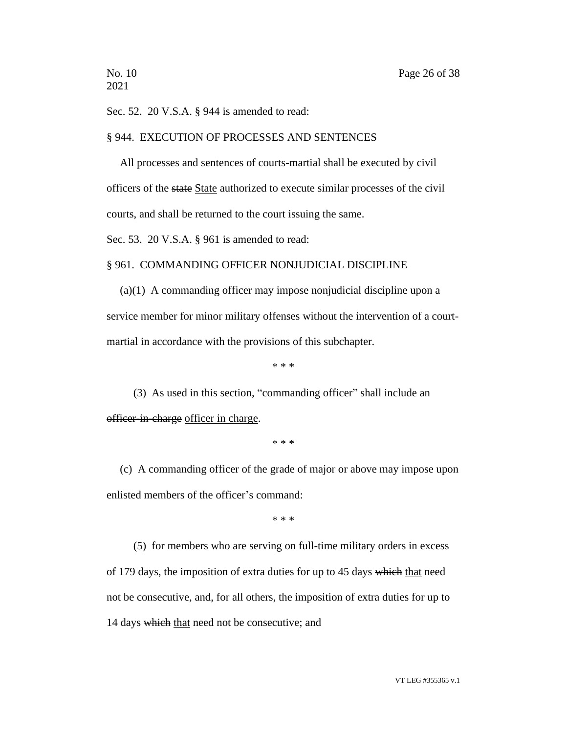Sec. 52. 20 V.S.A. § 944 is amended to read:

#### § 944. EXECUTION OF PROCESSES AND SENTENCES

All processes and sentences of courts-martial shall be executed by civil officers of the state State authorized to execute similar processes of the civil courts, and shall be returned to the court issuing the same.

Sec. 53. 20 V.S.A. § 961 is amended to read:

## § 961. COMMANDING OFFICER NONJUDICIAL DISCIPLINE

(a)(1) A commanding officer may impose nonjudicial discipline upon a service member for minor military offenses without the intervention of a courtmartial in accordance with the provisions of this subchapter.

\* \* \*

(3) As used in this section, "commanding officer" shall include an officer-in-charge officer in charge.

\* \* \*

(c) A commanding officer of the grade of major or above may impose upon enlisted members of the officer's command:

\* \* \*

(5) for members who are serving on full-time military orders in excess of 179 days, the imposition of extra duties for up to 45 days which that need not be consecutive, and, for all others, the imposition of extra duties for up to 14 days which that need not be consecutive; and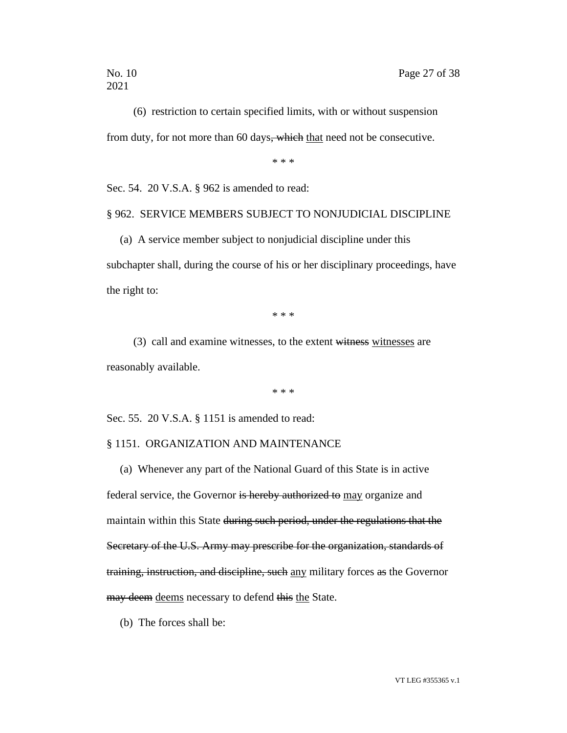(6) restriction to certain specified limits, with or without suspension from duty, for not more than 60 days, which that need not be consecutive.

\* \* \*

Sec. 54. 20 V.S.A. § 962 is amended to read:

## § 962. SERVICE MEMBERS SUBJECT TO NONJUDICIAL DISCIPLINE

(a) A service member subject to nonjudicial discipline under this subchapter shall, during the course of his or her disciplinary proceedings, have the right to:

\* \* \*

 $(3)$  call and examine witnesses, to the extent witnesses witnesses are reasonably available.

\* \* \*

Sec. 55. 20 V.S.A. § 1151 is amended to read:

#### § 1151. ORGANIZATION AND MAINTENANCE

(a) Whenever any part of the National Guard of this State is in active federal service, the Governor is hereby authorized to may organize and maintain within this State during such period, under the regulations that the Secretary of the U.S. Army may prescribe for the organization, standards of training, instruction, and discipline, such any military forces as the Governor may deem deems necessary to defend this the State.

(b) The forces shall be: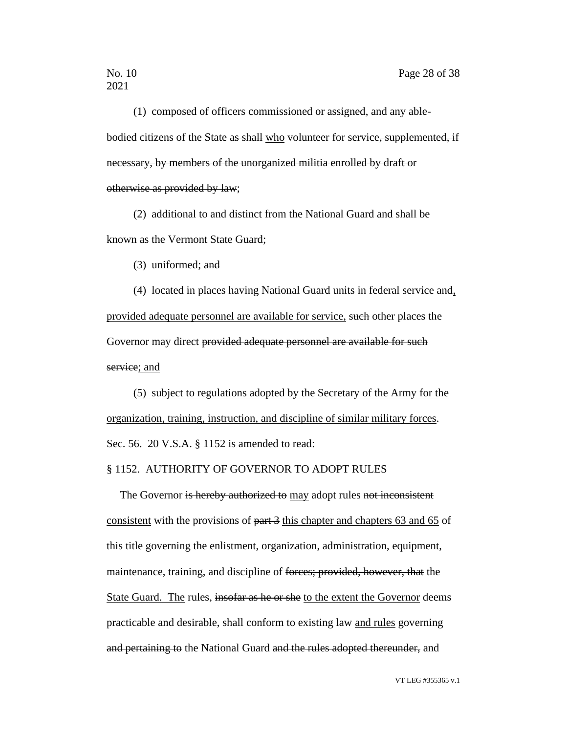(1) composed of officers commissioned or assigned, and any ablebodied citizens of the State as shall who volunteer for service, supplemented, if necessary, by members of the unorganized militia enrolled by draft or otherwise as provided by law;

(2) additional to and distinct from the National Guard and shall be known as the Vermont State Guard;

(3) uniformed; and

(4) located in places having National Guard units in federal service and, provided adequate personnel are available for service, such other places the Governor may direct provided adequate personnel are available for such service; and

(5) subject to regulations adopted by the Secretary of the Army for the organization, training, instruction, and discipline of similar military forces. Sec. 56. 20 V.S.A. § 1152 is amended to read:

#### § 1152. AUTHORITY OF GOVERNOR TO ADOPT RULES

The Governor is hereby authorized to may adopt rules not inconsistent consistent with the provisions of part 3 this chapter and chapters 63 and 65 of this title governing the enlistment, organization, administration, equipment, maintenance, training, and discipline of forces; provided, however, that the State Guard. The rules, insofar as he or she to the extent the Governor deems practicable and desirable, shall conform to existing law and rules governing and pertaining to the National Guard and the rules adopted thereunder, and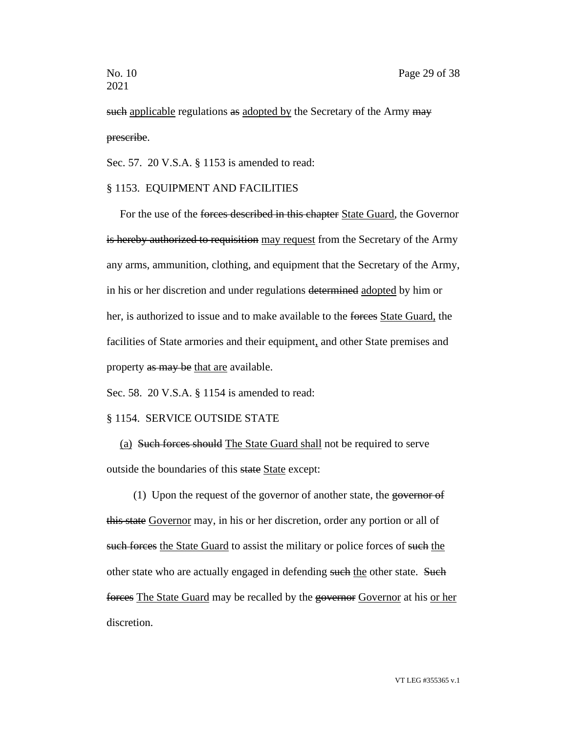such applicable regulations as adopted by the Secretary of the Army may prescribe.

Sec. 57. 20 V.S.A. § 1153 is amended to read:

## § 1153. EQUIPMENT AND FACILITIES

For the use of the forces described in this chapter State Guard, the Governor is hereby authorized to requisition may request from the Secretary of the Army any arms, ammunition, clothing, and equipment that the Secretary of the Army, in his or her discretion and under regulations determined adopted by him or her, is authorized to issue and to make available to the forces State Guard, the facilities of State armories and their equipment, and other State premises and property as may be that are available.

Sec. 58. 20 V.S.A. § 1154 is amended to read:

#### § 1154. SERVICE OUTSIDE STATE

(a) Such forces should The State Guard shall not be required to serve outside the boundaries of this state State except:

(1) Upon the request of the governor of another state, the governor of this state Governor may, in his or her discretion, order any portion or all of such forces the State Guard to assist the military or police forces of such the other state who are actually engaged in defending such the other state. Such forces The State Guard may be recalled by the governor Governor at his or her discretion.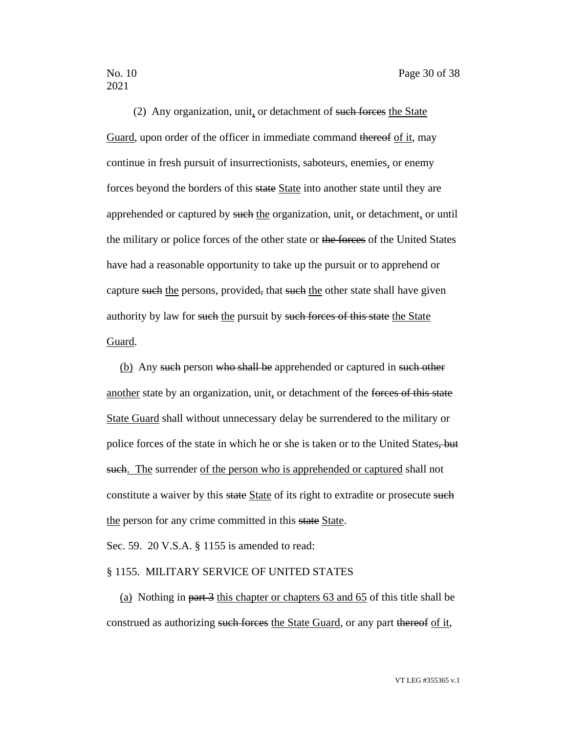(2) Any organization, unit, or detachment of such forces the State Guard, upon order of the officer in immediate command thereof of it, may continue in fresh pursuit of insurrectionists, saboteurs, enemies, or enemy forces beyond the borders of this state State into another state until they are apprehended or captured by such the organization, unit, or detachment, or until the military or police forces of the other state or the forces of the United States have had a reasonable opportunity to take up the pursuit or to apprehend or capture such the persons, provided, that such the other state shall have given authority by law for such the pursuit by such forces of this state the State Guard.

(b) Any such person who shall be apprehended or captured in such other another state by an organization, unit, or detachment of the forces of this state State Guard shall without unnecessary delay be surrendered to the military or police forces of the state in which he or she is taken or to the United States, but such. The surrender of the person who is apprehended or captured shall not constitute a waiver by this state State of its right to extradite or prosecute such the person for any crime committed in this state State.

Sec. 59. 20 V.S.A. § 1155 is amended to read:

#### § 1155. MILITARY SERVICE OF UNITED STATES

(a) Nothing in part 3 this chapter or chapters 63 and 65 of this title shall be construed as authorizing such forces the State Guard, or any part thereof of it,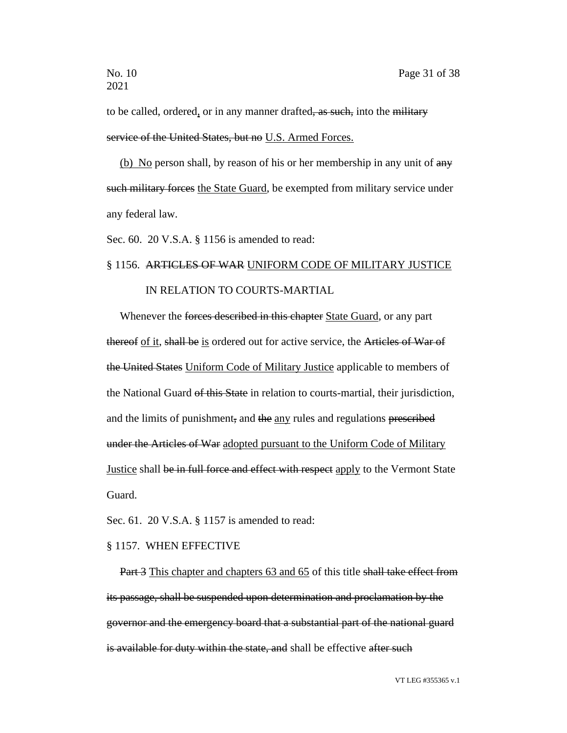to be called, ordered, or in any manner drafted, as such, into the military service of the United States, but no U.S. Armed Forces.

(b) No person shall, by reason of his or her membership in any unit of  $\frac{any}{y}$ such military forces the State Guard, be exempted from military service under any federal law.

Sec. 60. 20 V.S.A. § 1156 is amended to read:

# § 1156. ARTICLES OF WAR UNIFORM CODE OF MILITARY JUSTICE

## IN RELATION TO COURTS-MARTIAL

Whenever the forces described in this chapter State Guard, or any part thereof of it, shall be is ordered out for active service, the Articles of War of the United States Uniform Code of Military Justice applicable to members of the National Guard of this State in relation to courts-martial, their jurisdiction, and the limits of punishment, and the any rules and regulations prescribed under the Articles of War adopted pursuant to the Uniform Code of Military Justice shall be in full force and effect with respect apply to the Vermont State Guard.

Sec. 61. 20 V.S.A. § 1157 is amended to read:

#### § 1157. WHEN EFFECTIVE

Part 3 This chapter and chapters 63 and 65 of this title shall take effect from its passage, shall be suspended upon determination and proclamation by the governor and the emergency board that a substantial part of the national guard is available for duty within the state, and shall be effective after such

VT LEG #355365 v.1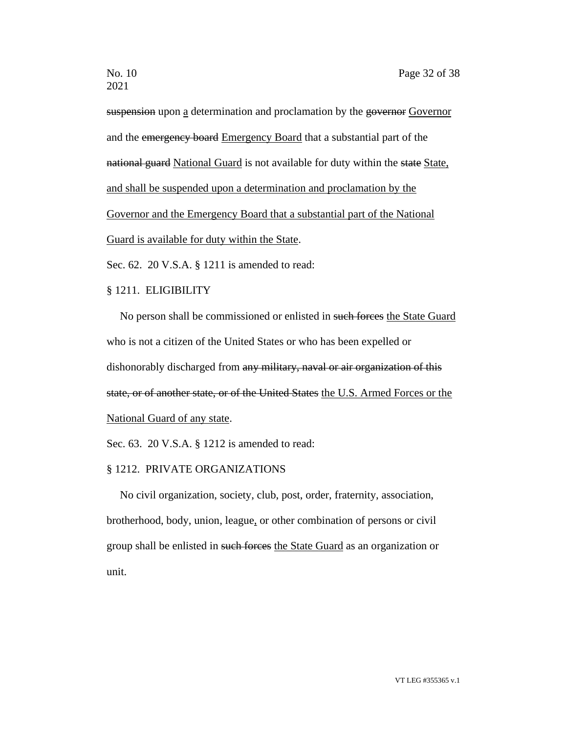suspension upon a determination and proclamation by the governor Governor and the emergency board Emergency Board that a substantial part of the national guard National Guard is not available for duty within the state State, and shall be suspended upon a determination and proclamation by the Governor and the Emergency Board that a substantial part of the National Guard is available for duty within the State.

Sec. 62. 20 V.S.A. § 1211 is amended to read:

#### § 1211. ELIGIBILITY

No person shall be commissioned or enlisted in such forces the State Guard who is not a citizen of the United States or who has been expelled or dishonorably discharged from any military, naval or air organization of this state, or of another state, or of the United States the U.S. Armed Forces or the National Guard of any state.

Sec. 63. 20 V.S.A. § 1212 is amended to read:

#### § 1212. PRIVATE ORGANIZATIONS

No civil organization, society, club, post, order, fraternity, association, brotherhood, body, union, league, or other combination of persons or civil group shall be enlisted in such forces the State Guard as an organization or unit.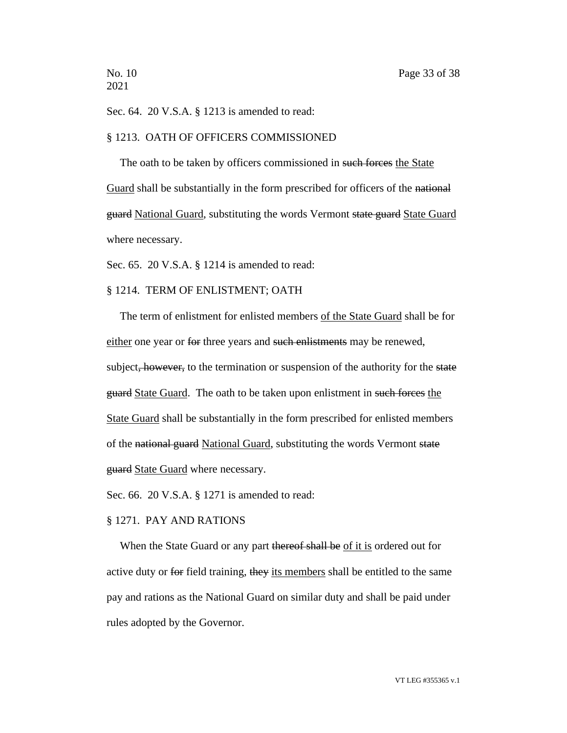2021

Sec. 64. 20 V.S.A. § 1213 is amended to read:

#### § 1213. OATH OF OFFICERS COMMISSIONED

The oath to be taken by officers commissioned in such forces the State Guard shall be substantially in the form prescribed for officers of the national guard National Guard, substituting the words Vermont state guard State Guard where necessary.

Sec. 65. 20 V.S.A. § 1214 is amended to read:

#### § 1214. TERM OF ENLISTMENT; OATH

The term of enlistment for enlisted members of the State Guard shall be for either one year or for three years and such enlistments may be renewed, subject, however, to the termination or suspension of the authority for the state guard State Guard. The oath to be taken upon enlistment in such forces the State Guard shall be substantially in the form prescribed for enlisted members of the national guard National Guard, substituting the words Vermont state guard State Guard where necessary.

Sec. 66. 20 V.S.A. § 1271 is amended to read:

#### § 1271. PAY AND RATIONS

When the State Guard or any part thereof shall be of it is ordered out for active duty or for field training, they its members shall be entitled to the same pay and rations as the National Guard on similar duty and shall be paid under rules adopted by the Governor.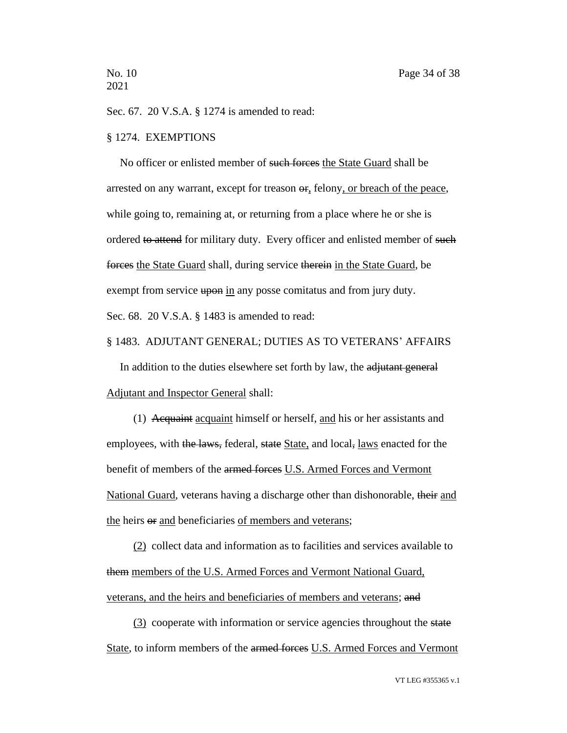Sec. 67. 20 V.S.A. § 1274 is amended to read:

#### § 1274. EXEMPTIONS

No officer or enlisted member of such forces the State Guard shall be arrested on any warrant, except for treason  $\Theta$ , felony, or breach of the peace, while going to, remaining at, or returning from a place where he or she is ordered to attend for military duty. Every officer and enlisted member of such forces the State Guard shall, during service therein in the State Guard, be exempt from service upon in any posse comitatus and from jury duty. Sec. 68. 20 V.S.A. § 1483 is amended to read:

#### § 1483. ADJUTANT GENERAL; DUTIES AS TO VETERANS' AFFAIRS

In addition to the duties elsewhere set forth by law, the adjutant general Adjutant and Inspector General shall:

(1) Acquaint acquaint himself or herself, and his or her assistants and employees, with the laws, federal, state State, and local, laws enacted for the benefit of members of the armed forces U.S. Armed Forces and Vermont National Guard, veterans having a discharge other than dishonorable, their and the heirs or and beneficiaries of members and veterans;

(2) collect data and information as to facilities and services available to them members of the U.S. Armed Forces and Vermont National Guard, veterans, and the heirs and beneficiaries of members and veterans; and

(3) cooperate with information or service agencies throughout the state State, to inform members of the armed forces U.S. Armed Forces and Vermont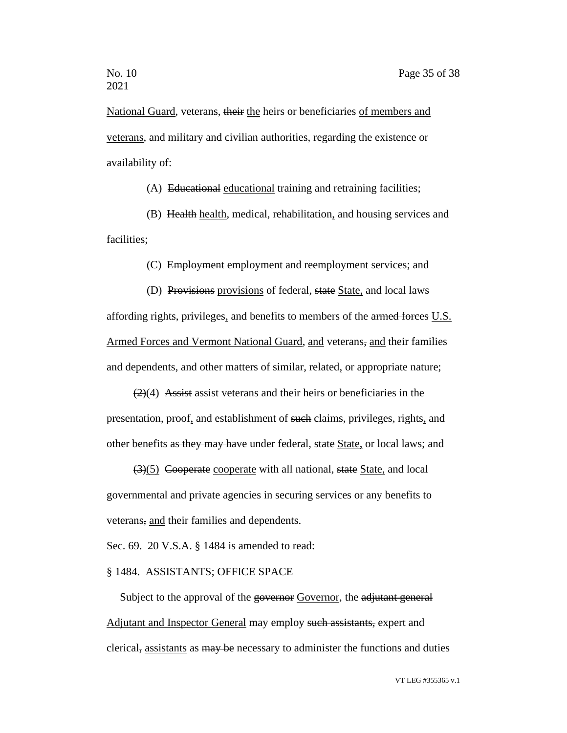National Guard, veterans, their the heirs or beneficiaries of members and veterans, and military and civilian authorities, regarding the existence or availability of:

(A) Educational educational training and retraining facilities;

(B) Health health, medical, rehabilitation, and housing services and facilities;

(C) Employment employment and reemployment services; and

(D) Provisions provisions of federal, state State, and local laws affording rights, privileges, and benefits to members of the armed forces U.S. Armed Forces and Vermont National Guard, and veterans, and their families and dependents, and other matters of similar, related, or appropriate nature;

 $(2)(4)$  Assist assist veterans and their heirs or beneficiaries in the presentation, proof, and establishment of such claims, privileges, rights, and other benefits as they may have under federal, state State, or local laws; and

(3)(5) Cooperate cooperate with all national, state State, and local governmental and private agencies in securing services or any benefits to veterans, and their families and dependents.

Sec. 69. 20 V.S.A. § 1484 is amended to read:

### § 1484. ASSISTANTS; OFFICE SPACE

Subject to the approval of the governor Governor, the adjutant general Adjutant and Inspector General may employ such assistants, expert and clerical, assistants as may be necessary to administer the functions and duties

VT LEG #355365 v.1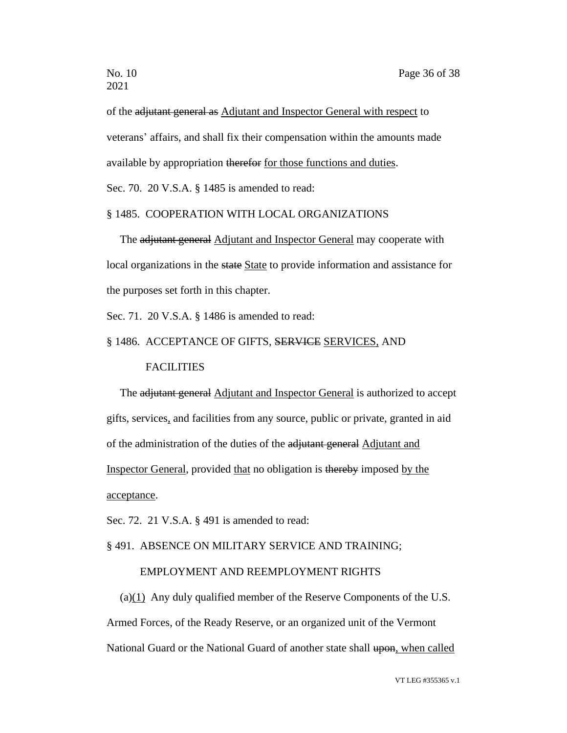of the adjutant general as Adjutant and Inspector General with respect to veterans' affairs, and shall fix their compensation within the amounts made available by appropriation therefor for those functions and duties.

Sec. 70. 20 V.S.A. § 1485 is amended to read:

## § 1485. COOPERATION WITH LOCAL ORGANIZATIONS

The adjutant general Adjutant and Inspector General may cooperate with local organizations in the state State to provide information and assistance for the purposes set forth in this chapter.

Sec. 71. 20 V.S.A. § 1486 is amended to read:

## § 1486. ACCEPTANCE OF GIFTS, SERVICE SERVICES, AND

### **FACILITIES**

The adjutant general Adjutant and Inspector General is authorized to accept gifts, services, and facilities from any source, public or private, granted in aid of the administration of the duties of the adjutant general Adjutant and Inspector General, provided that no obligation is thereby imposed by the acceptance.

Sec. 72. 21 V.S.A. § 491 is amended to read:

## § 491. ABSENCE ON MILITARY SERVICE AND TRAINING;

## EMPLOYMENT AND REEMPLOYMENT RIGHTS

(a)(1) Any duly qualified member of the Reserve Components of the U.S. Armed Forces, of the Ready Reserve, or an organized unit of the Vermont National Guard or the National Guard of another state shall upon, when called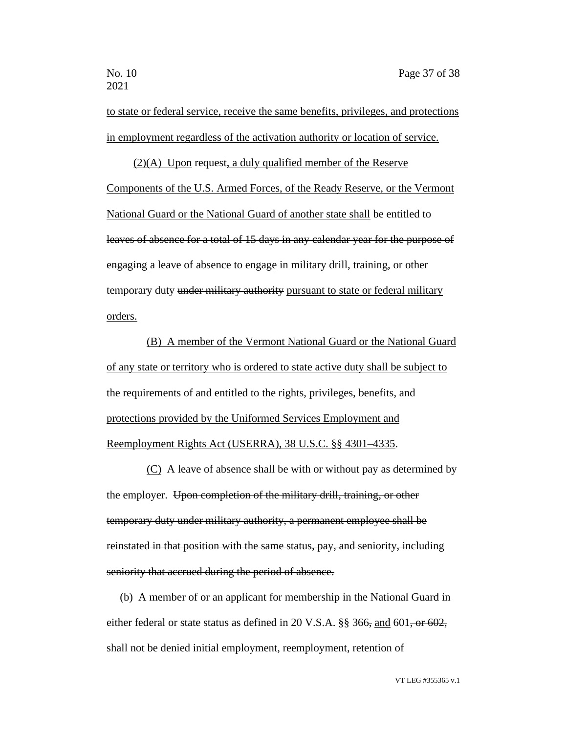to state or federal service, receive the same benefits, privileges, and protections in employment regardless of the activation authority or location of service.

(2)(A) Upon request, a duly qualified member of the Reserve Components of the U.S. Armed Forces, of the Ready Reserve, or the Vermont National Guard or the National Guard of another state shall be entitled to leaves of absence for a total of 15 days in any calendar year for the purpose of engaging a leave of absence to engage in military drill, training, or other temporary duty under military authority pursuant to state or federal military orders.

(B) A member of the Vermont National Guard or the National Guard of any state or territory who is ordered to state active duty shall be subject to the requirements of and entitled to the rights, privileges, benefits, and protections provided by the Uniformed Services Employment and Reemployment Rights Act (USERRA), 38 U.S.C. §§ 4301–4335.

(C) A leave of absence shall be with or without pay as determined by the employer. Upon completion of the military drill, training, or other temporary duty under military authority, a permanent employee shall be reinstated in that position with the same status, pay, and seniority, including seniority that accrued during the period of absence.

(b) A member of or an applicant for membership in the National Guard in either federal or state status as defined in 20 V.S.A. §§ 366, and 601, or 602, shall not be denied initial employment, reemployment, retention of